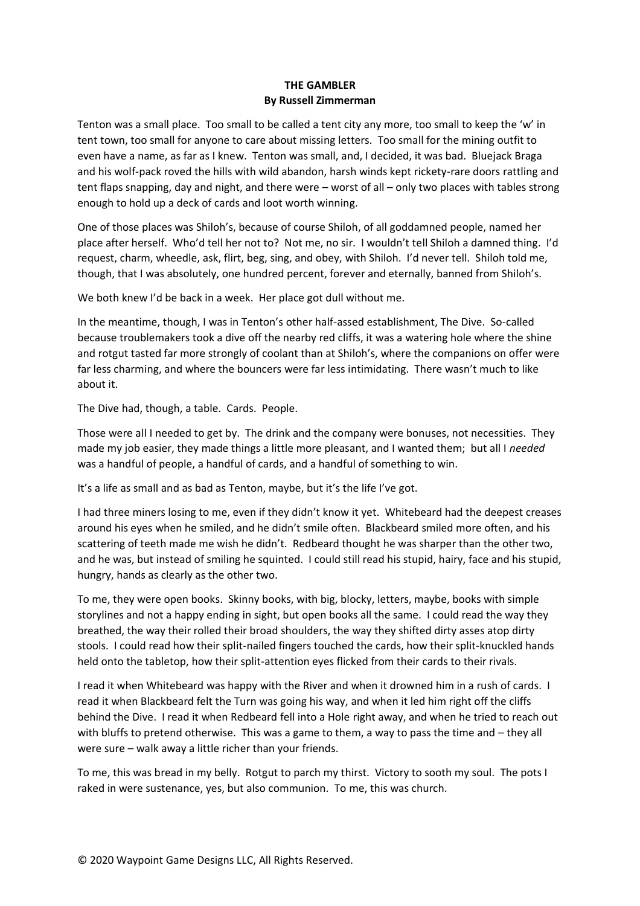## **THE GAMBLER By Russell Zimmerman**

Tenton was a small place. Too small to be called a tent city any more, too small to keep the 'w' in tent town, too small for anyone to care about missing letters. Too small for the mining outfit to even have a name, as far as I knew. Tenton was small, and, I decided, it was bad. Bluejack Braga and his wolf-pack roved the hills with wild abandon, harsh winds kept rickety-rare doors rattling and tent flaps snapping, day and night, and there were – worst of all – only two places with tables strong enough to hold up a deck of cards and loot worth winning.

One of those places was Shiloh's, because of course Shiloh, of all goddamned people, named her place after herself. Who'd tell her not to? Not me, no sir. I wouldn't tell Shiloh a damned thing. I'd request, charm, wheedle, ask, flirt, beg, sing, and obey, with Shiloh. I'd never tell. Shiloh told me, though, that I was absolutely, one hundred percent, forever and eternally, banned from Shiloh's.

We both knew I'd be back in a week. Her place got dull without me.

In the meantime, though, I was in Tenton's other half-assed establishment, The Dive. So-called because troublemakers took a dive off the nearby red cliffs, it was a watering hole where the shine and rotgut tasted far more strongly of coolant than at Shiloh's, where the companions on offer were far less charming, and where the bouncers were far less intimidating. There wasn't much to like about it.

The Dive had, though, a table. Cards. People.

Those were all I needed to get by. The drink and the company were bonuses, not necessities. They made my job easier, they made things a little more pleasant, and I wanted them; but all I *needed*  was a handful of people, a handful of cards, and a handful of something to win.

It's a life as small and as bad as Tenton, maybe, but it's the life I've got.

I had three miners losing to me, even if they didn't know it yet. Whitebeard had the deepest creases around his eyes when he smiled, and he didn't smile often. Blackbeard smiled more often, and his scattering of teeth made me wish he didn't. Redbeard thought he was sharper than the other two, and he was, but instead of smiling he squinted. I could still read his stupid, hairy, face and his stupid, hungry, hands as clearly as the other two.

To me, they were open books. Skinny books, with big, blocky, letters, maybe, books with simple storylines and not a happy ending in sight, but open books all the same. I could read the way they breathed, the way their rolled their broad shoulders, the way they shifted dirty asses atop dirty stools. I could read how their split-nailed fingers touched the cards, how their split-knuckled hands held onto the tabletop, how their split-attention eyes flicked from their cards to their rivals.

I read it when Whitebeard was happy with the River and when it drowned him in a rush of cards. I read it when Blackbeard felt the Turn was going his way, and when it led him right off the cliffs behind the Dive. I read it when Redbeard fell into a Hole right away, and when he tried to reach out with bluffs to pretend otherwise. This was a game to them, a way to pass the time and – they all were sure – walk away a little richer than your friends.

To me, this was bread in my belly. Rotgut to parch my thirst. Victory to sooth my soul. The pots I raked in were sustenance, yes, but also communion. To me, this was church.